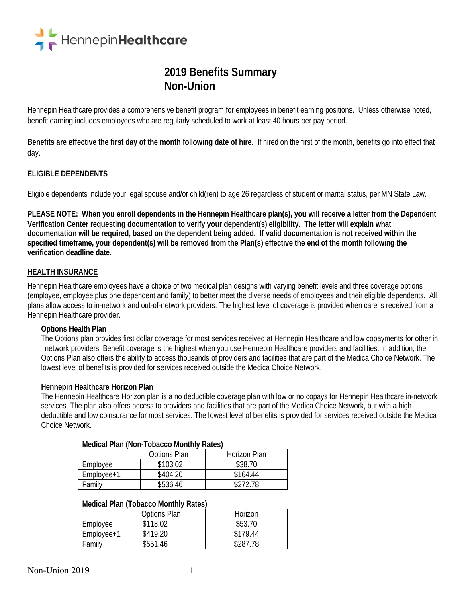

# **2019 Benefits Summary Non-Union**

Hennepin Healthcare provides a comprehensive benefit program for employees in benefit earning positions. Unless otherwise noted, benefit earning includes employees who are regularly scheduled to work at least 40 hours per pay period.

**Benefits are effective the first day of the month following date of hire**. If hired on the first of the month, benefits go into effect that day.

### **ELIGIBLE DEPENDENTS**

Eligible dependents include your legal spouse and/or child(ren) to age 26 regardless of student or marital status, per MN State Law.

**PLEASE NOTE: When you enroll dependents in the Hennepin Healthcare plan(s), you will receive a letter from the Dependent Verification Center requesting documentation to verify your dependent(s) eligibility. The letter will explain what documentation will be required, based on the dependent being added. If valid documentation is not received within the specified timeframe, your dependent(s) will be removed from the Plan(s) effective the end of the month following the verification deadline date.**

#### **HEALTH INSURANCE**

Hennepin Healthcare employees have a choice of two medical plan designs with varying benefit levels and three coverage options (employee, employee plus one dependent and family) to better meet the diverse needs of employees and their eligible dependents. All plans allow access to in-network and out-of-network providers. The highest level of coverage is provided when care is received from a Hennepin Healthcare provider.

#### **Options Health Plan**

The Options plan provides first dollar coverage for most services received at Hennepin Healthcare and low copayments for other in –network providers. Benefit coverage is the highest when you use Hennepin Healthcare providers and facilities. In addition, the Options Plan also offers the ability to access thousands of providers and facilities that are part of the Medica Choice Network. The lowest level of benefits is provided for services received outside the Medica Choice Network.

#### **Hennepin Healthcare Horizon Plan**

The Hennepin Healthcare Horizon plan is a no deductible coverage plan with low or no copays for Hennepin Healthcare in-network services. The plan also offers access to providers and facilities that are part of the Medica Choice Network, but with a high deductible and low coinsurance for most services. The lowest level of benefits is provided for services received outside the Medica Choice Network.

#### **Medical Plan (Non-Tobacco Monthly Rates)**

|                |              | .            |
|----------------|--------------|--------------|
|                | Options Plan | Horizon Plan |
| Employee       | \$103.02     | \$38.70      |
| $Emplovee + 1$ | \$404.20     | \$164.44     |
| Family         | \$536.46     | \$272.78     |

#### **Medical Plan (Tobacco Monthly Rates)**

|            | <b>Options Plan</b> | Horizon  |
|------------|---------------------|----------|
| Employee   | \$118.02            | \$53.70  |
| Employee+1 | \$419.20            | \$179.44 |
| Family     | \$551.46            | \$287.78 |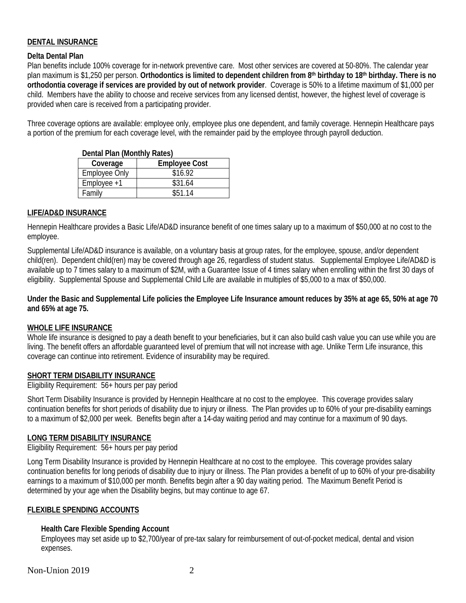## **DENTAL INSURANCE**

#### **Delta Dental Plan**

Plan benefits include 100% coverage for in-network preventive care. Most other services are covered at 50-80%. The calendar year plan maximum is \$1,250 per person. **Orthodontics is limited to dependent children from 8th birthday to 18th birthday. There is no orthodontia coverage if services are provided by out of network provider**. Coverage is 50% to a lifetime maximum of \$1,000 per child. Members have the ability to choose and receive services from any licensed dentist, however, the highest level of coverage is provided when care is received from a participating provider.

Three coverage options are available: employee only, employee plus one dependent, and family coverage. Hennepin Healthcare pays a portion of the premium for each coverage level, with the remainder paid by the employee through payroll deduction.

| Dental Plan (Monthly Rates) |                      |  |  |
|-----------------------------|----------------------|--|--|
| Coverage                    | <b>Employee Cost</b> |  |  |
| <b>Employee Only</b>        | \$16.92              |  |  |
| $Employee +1$               | \$31.64              |  |  |
| Family                      | \$51.14              |  |  |

**Dental Plan (Monthly Rates)**

## **LIFE/AD&D INSURANCE**

Hennepin Healthcare provides a Basic Life/AD&D insurance benefit of one times salary up to a maximum of \$50,000 at no cost to the employee.

Supplemental Life/AD&D insurance is available, on a voluntary basis at group rates, for the employee, spouse, and/or dependent child(ren). Dependent child(ren) may be covered through age 26, regardless of student status. Supplemental Employee Life/AD&D is available up to 7 times salary to a maximum of \$2M, with a Guarantee Issue of 4 times salary when enrolling within the first 30 days of eligibility. Supplemental Spouse and Supplemental Child Life are available in multiples of \$5,000 to a max of \$50,000.

**Under the Basic and Supplemental Life policies the Employee Life Insurance amount reduces by 35% at age 65, 50% at age 70 and 65% at age 75.**

### **WHOLE LIFE INSURANCE**

Whole life insurance is designed to pay a death benefit to your beneficiaries, but it can also build cash value you can use while you are living. The benefit offers an affordable guaranteed level of premium that will not increase with age. Unlike Term Life insurance, this coverage can continue into retirement. Evidence of insurability may be required.

#### **SHORT TERM DISABILITY INSURANCE**

Eligibility Requirement: 56+ hours per pay period

Short Term Disability Insurance is provided by Hennepin Healthcare at no cost to the employee. This coverage provides salary continuation benefits for short periods of disability due to injury or illness. The Plan provides up to 60% of your pre-disability earnings to a maximum of \$2,000 per week. Benefits begin after a 14-day waiting period and may continue for a maximum of 90 days.

#### **LONG TERM DISABILITY INSURANCE**

Eligibility Requirement: 56+ hours per pay period

Long Term Disability Insurance is provided by Hennepin Healthcare at no cost to the employee. This coverage provides salary continuation benefits for long periods of disability due to injury or illness. The Plan provides a benefit of up to 60% of your pre-disability earnings to a maximum of \$10,000 per month. Benefits begin after a 90 day waiting period. The Maximum Benefit Period is determined by your age when the Disability begins, but may continue to age 67.

### **FLEXIBLE SPENDING ACCOUNTS**

#### **Health Care Flexible Spending Account**

Employees may set aside up to \$2,700/year of pre-tax salary for reimbursement of out-of-pocket medical, dental and vision expenses.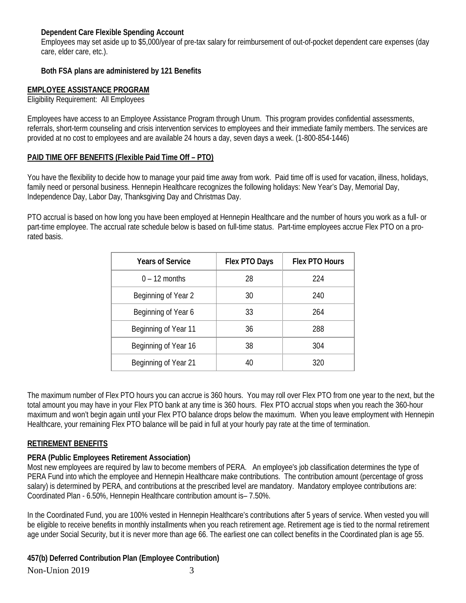### **Dependent Care Flexible Spending Account**

Employees may set aside up to \$5,000/year of pre-tax salary for reimbursement of out-of-pocket dependent care expenses (day care, elder care, etc.).

## **Both FSA plans are administered by 121 Benefits**

## **EMPLOYEE ASSISTANCE PROGRAM**

Eligibility Requirement: All Employees

Employees have access to an Employee Assistance Program through Unum. This program provides confidential assessments, referrals, short-term counseling and crisis intervention services to employees and their immediate family members. The services are provided at no cost to employees and are available 24 hours a day, seven days a week. (1-800-854-1446)

## **PAID TIME OFF BENEFITS (Flexible Paid Time Off – PTO)**

You have the flexibility to decide how to manage your paid time away from work. Paid time off is used for vacation, illness, holidays, family need or personal business. Hennepin Healthcare recognizes the following holidays: New Year's Day, Memorial Day, Independence Day, Labor Day, Thanksgiving Day and Christmas Day.

PTO accrual is based on how long you have been employed at Hennepin Healthcare and the number of hours you work as a full- or part-time employee. The accrual rate schedule below is based on full-time status. Part-time employees accrue Flex PTO on a prorated basis.

| <b>Years of Service</b> | Flex PTO Days | <b>Flex PTO Hours</b> |
|-------------------------|---------------|-----------------------|
| $0 - 12$ months         | 28            | 224                   |
| Beginning of Year 2     | 30            | 240                   |
| Beginning of Year 6     | 33            | 264                   |
| Beginning of Year 11    | 36            | 288                   |
| Beginning of Year 16    | 38            | 304                   |
| Beginning of Year 21    | 40            | 320                   |

The maximum number of Flex PTO hours you can accrue is 360 hours. You may roll over Flex PTO from one year to the next, but the total amount you may have in your Flex PTO bank at any time is 360 hours. Flex PTO accrual stops when you reach the 360-hour maximum and won't begin again until your Flex PTO balance drops below the maximum. When you leave employment with Hennepin Healthcare, your remaining Flex PTO balance will be paid in full at your hourly pay rate at the time of termination.

### **RETIREMENT BENEFITS**

### **PERA (Public Employees Retirement Association)**

Most new employees are required by law to become members of PERA. An employee's job classification determines the type of PERA Fund into which the employee and Hennepin Healthcare make contributions. The contribution amount (percentage of gross salary) is determined by PERA, and contributions at the prescribed level are mandatory. Mandatory employee contributions are: Coordinated Plan - 6.50%, Hennepin Healthcare contribution amount is– 7.50%.

In the Coordinated Fund, you are 100% vested in Hennepin Healthcare's contributions after 5 years of service. When vested you will be eligible to receive benefits in monthly installments when you reach retirement age. Retirement age is tied to the normal retirement age under Social Security, but it is never more than age 66. The earliest one can collect benefits in the Coordinated plan is age 55.

Non-Union 2019 3 **457(b) Deferred Contribution Plan (Employee Contribution)**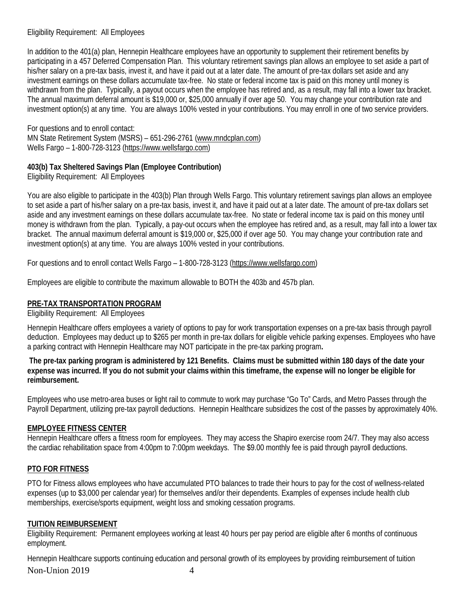## Eligibility Requirement: All Employees

In addition to the 401(a) plan, Hennepin Healthcare employees have an opportunity to supplement their retirement benefits by participating in a 457 Deferred Compensation Plan. This voluntary retirement savings plan allows an employee to set aside a part of his/her salary on a pre-tax basis, invest it, and have it paid out at a later date. The amount of pre-tax dollars set aside and any investment earnings on these dollars accumulate tax-free. No state or federal income tax is paid on this money until money is withdrawn from the plan. Typically, a payout occurs when the employee has retired and, as a result, may fall into a lower tax bracket. The annual maximum deferral amount is \$19,000 or, \$25,000 annually if over age 50. You may change your contribution rate and investment option(s) at any time. You are always 100% vested in your contributions. You may enroll in one of two service providers.

For questions and to enroll contact: MN State Retirement System (MSRS) – 651-296-2761 [\(www.mndcplan.com\)](http://www.mndcplan.com/) Wells Fargo – 1-800-728-3123 [\(https://www.wellsfargo.com\)](https://www.wellsfargo.com/)

## **403(b) Tax Sheltered Savings Plan (Employee Contribution)**

Eligibility Requirement: All Employees

You are also eligible to participate in the 403(b) Plan through Wells Fargo. This voluntary retirement savings plan allows an employee to set aside a part of his/her salary on a pre-tax basis, invest it, and have it paid out at a later date. The amount of pre-tax dollars set aside and any investment earnings on these dollars accumulate tax-free. No state or federal income tax is paid on this money until money is withdrawn from the plan. Typically, a pay-out occurs when the employee has retired and, as a result, may fall into a lower tax bracket. The annual maximum deferral amount is \$19,000 or, \$25,000 if over age 50. You may change your contribution rate and investment option(s) at any time. You are always 100% vested in your contributions.

For questions and to enroll contact Wells Fargo – 1-800-728-3123 [\(https://www.wellsfargo.com\)](https://www.wellsfargo.com/)

Employees are eligible to contribute the maximum allowable to BOTH the 403b and 457b plan.

# **PRE-TAX TRANSPORTATION PROGRAM**

Eligibility Requirement: All Employees

Hennepin Healthcare offers employees a variety of options to pay for work transportation expenses on a pre-tax basis through payroll deduction. Employees may deduct up to \$265 per month in pre-tax dollars for eligible vehicle parking expenses. Employees who have a parking contract with Hennepin Healthcare may NOT participate in the pre-tax parking program**.** 

**The pre-tax parking program is administered by 121 Benefits. Claims must be submitted within 180 days of the date your expense was incurred. If you do not submit your claims within this timeframe, the expense will no longer be eligible for reimbursement.**

Employees who use metro-area buses or light rail to commute to work may purchase "Go To" Cards, and Metro Passes through the Payroll Department, utilizing pre-tax payroll deductions. Hennepin Healthcare subsidizes the cost of the passes by approximately 40%.

# **EMPLOYEE FITNESS CENTER**

Hennepin Healthcare offers a fitness room for employees. They may access the Shapiro exercise room 24/7. They may also access the cardiac rehabilitation space from 4:00pm to 7:00pm weekdays. The \$9.00 monthly fee is paid through payroll deductions.

# **PTO FOR FITNESS**

PTO for Fitness allows employees who have accumulated PTO balances to trade their hours to pay for the cost of wellness-related expenses (up to \$3,000 per calendar year) for themselves and/or their dependents. Examples of expenses include health club memberships, exercise/sports equipment, weight loss and smoking cessation programs.

# **TUITION REIMBURSEMENT**

Eligibility Requirement: Permanent employees working at least 40 hours per pay period are eligible after 6 months of continuous employment.

Non-Union 2019 4 Hennepin Healthcare supports continuing education and personal growth of its employees by providing reimbursement of tuition